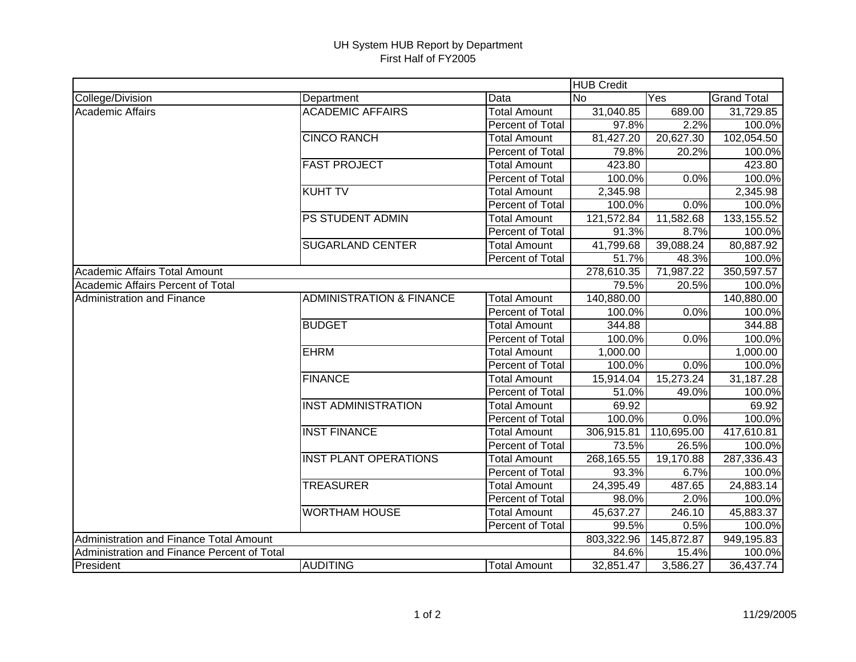## UH System HUB Report by Department First Half of FY2005

|                                             |                                     |                     |                  | <b>HUB Credit</b> |                    |  |  |
|---------------------------------------------|-------------------------------------|---------------------|------------------|-------------------|--------------------|--|--|
| College/Division                            | Department                          | Data                | <b>No</b><br>Yes |                   | <b>Grand Total</b> |  |  |
| <b>Academic Affairs</b>                     | <b>ACADEMIC AFFAIRS</b>             | <b>Total Amount</b> | 31,040.85        | 689.00            | 31,729.85          |  |  |
|                                             |                                     | Percent of Total    | 97.8%            | 2.2%              | 100.0%             |  |  |
|                                             | <b>CINCO RANCH</b>                  | <b>Total Amount</b> | 81,427.20        | 20,627.30         | 102,054.50         |  |  |
|                                             |                                     | Percent of Total    | 79.8%            | 20.2%             | 100.0%             |  |  |
|                                             | <b>FAST PROJECT</b>                 | <b>Total Amount</b> | 423.80           |                   | 423.80             |  |  |
|                                             |                                     | Percent of Total    | 100.0%           | $0.0\%$           | 100.0%             |  |  |
|                                             | <b>KUHT TV</b>                      | <b>Total Amount</b> | 2,345.98         |                   | 2,345.98           |  |  |
|                                             |                                     | Percent of Total    | 100.0%           | 0.0%              | 100.0%             |  |  |
|                                             | <b>PS STUDENT ADMIN</b>             | <b>Total Amount</b> | 121,572.84       | 11,582.68         | 133,155.52         |  |  |
|                                             |                                     | Percent of Total    | 91.3%            | 8.7%              | 100.0%             |  |  |
|                                             | <b>SUGARLAND CENTER</b>             | <b>Total Amount</b> | 41,799.68        | 39,088.24         | 80,887.92          |  |  |
|                                             |                                     | Percent of Total    | 51.7%            | 48.3%             | 100.0%             |  |  |
| Academic Affairs Total Amount               |                                     |                     | 278,610.35       | 71,987.22         | 350,597.57         |  |  |
| Academic Affairs Percent of Total           |                                     |                     | 79.5%            | 20.5%             | 100.0%             |  |  |
| Administration and Finance                  | <b>ADMINISTRATION &amp; FINANCE</b> | <b>Total Amount</b> | 140,880.00       |                   | 140,880.00         |  |  |
|                                             |                                     | Percent of Total    | 100.0%           | 0.0%              | 100.0%             |  |  |
|                                             | <b>BUDGET</b>                       | <b>Total Amount</b> | 344.88           |                   | 344.88             |  |  |
|                                             |                                     | Percent of Total    | 100.0%           | 0.0%              | 100.0%             |  |  |
|                                             | <b>EHRM</b>                         | <b>Total Amount</b> | 1,000.00         |                   | 1,000.00           |  |  |
|                                             |                                     | Percent of Total    | 100.0%           | 0.0%              | 100.0%             |  |  |
|                                             | <b>FINANCE</b>                      | <b>Total Amount</b> | 15,914.04        | 15,273.24         | 31,187.28          |  |  |
|                                             |                                     | Percent of Total    | 51.0%            | 49.0%             | 100.0%             |  |  |
|                                             | <b>INST ADMINISTRATION</b>          | <b>Total Amount</b> | 69.92            |                   | 69.92              |  |  |
|                                             |                                     | Percent of Total    | 100.0%           | 0.0%              | 100.0%             |  |  |
|                                             | <b>INST FINANCE</b>                 | <b>Total Amount</b> | 306,915.81       | 110,695.00        | 417,610.81         |  |  |
|                                             |                                     | Percent of Total    | 73.5%            | 26.5%             | 100.0%             |  |  |
|                                             | <b>INST PLANT OPERATIONS</b>        | <b>Total Amount</b> | 268,165.55       | 19,170.88         | 287,336.43         |  |  |
|                                             |                                     | Percent of Total    | 93.3%            | 6.7%              | 100.0%             |  |  |
|                                             | <b>TREASURER</b>                    | <b>Total Amount</b> | 24,395.49        | 487.65            | 24,883.14          |  |  |
|                                             |                                     | Percent of Total    | 98.0%            | 2.0%              | 100.0%             |  |  |
|                                             | <b>WORTHAM HOUSE</b>                | <b>Total Amount</b> | 45,637.27        | 246.10            | 45,883.37          |  |  |
|                                             |                                     | Percent of Total    | 99.5%            | 0.5%              | 100.0%             |  |  |
| Administration and Finance Total Amount     |                                     |                     | 803,322.96       | 145,872.87        | 949,195.83         |  |  |
| Administration and Finance Percent of Total |                                     |                     | 84.6%            | 15.4%             | 100.0%             |  |  |
| President                                   | AUDITING                            | <b>Total Amount</b> | 32,851.47        | 3,586.27          | 36,437.74          |  |  |